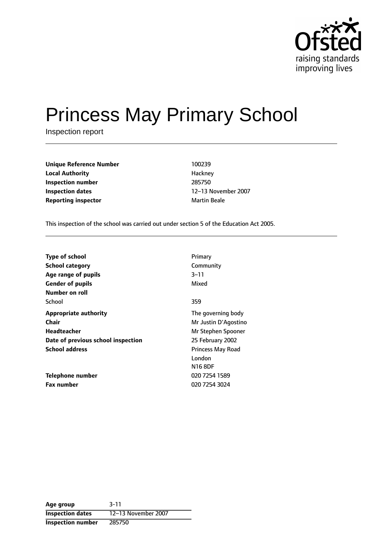

# Princess May Primary School

Inspection report

| <b>Unique Reference Number</b> | 100239              |
|--------------------------------|---------------------|
| <b>Local Authority</b>         | Hackney             |
| Inspection number              | 285750              |
| <b>Inspection dates</b>        | 12-13 Noven         |
| <b>Reporting inspector</b>     | <b>Martin Beale</b> |

**Hackney Inspection number** 285750 **Inspection dates** 1213 November 2007

This inspection of the school was carried out under section 5 of the Education Act 2005.

| <b>Type of school</b>              | Primary                                              |
|------------------------------------|------------------------------------------------------|
| <b>School category</b>             | Community                                            |
| Age range of pupils                | 3–11                                                 |
| <b>Gender of pupils</b>            | Mixed                                                |
| Number on roll<br>School           | 359                                                  |
| <b>Appropriate authority</b>       | The governing body                                   |
| <b>Chair</b>                       | Mr Justin D'Agostino                                 |
| Headteacher                        | Mr Stephen Spooner                                   |
| Date of previous school inspection | 25 February 2002                                     |
| <b>School address</b>              | <b>Princess May Road</b><br>London<br><b>N16 8DF</b> |
| Telephone number                   | 020 7254 1589                                        |
| <b>Fax number</b>                  | 020 7254 3024                                        |

**Age group** 3-11 **Inspection dates** 12-13 November 2007 **Inspection number** 285750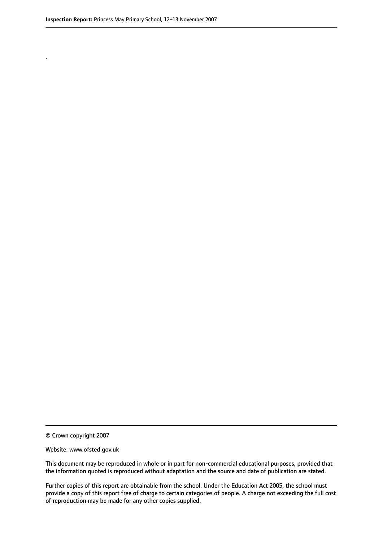.

This document may be reproduced in whole or in part for non-commercial educational purposes, provided that the information quoted is reproduced without adaptation and the source and date of publication are stated.

Further copies of this report are obtainable from the school. Under the Education Act 2005, the school must provide a copy of this report free of charge to certain categories of people. A charge not exceeding the full cost of reproduction may be made for any other copies supplied.

<sup>©</sup> Crown copyright 2007

Website: www.ofsted.gov.uk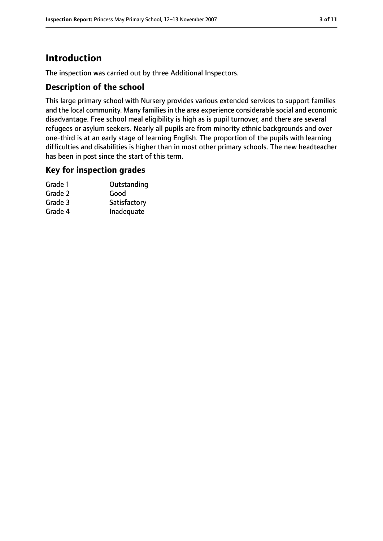# **Introduction**

The inspection was carried out by three Additional Inspectors.

#### **Description of the school**

This large primary school with Nursery provides various extended services to support families and the local community. Many families in the area experience considerable social and economic disadvantage. Free school meal eligibility is high as is pupil turnover, and there are several refugees or asylum seekers. Nearly all pupils are from minority ethnic backgrounds and over one-third is at an early stage of learning English. The proportion of the pupils with learning difficulties and disabilities is higher than in most other primary schools. The new headteacher has been in post since the start of this term.

## **Key for inspection grades**

| Outstanding  |
|--------------|
| Good         |
| Satisfactory |
| Inadequate   |
|              |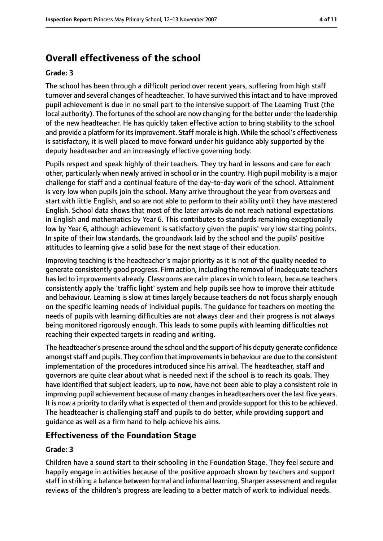# **Overall effectiveness of the school**

#### **Grade: 3**

The school has been through a difficult period over recent years, suffering from high staff turnover and several changes of headteacher. To have survived thisintact and to have improved pupil achievement is due in no small part to the intensive support of The Learning Trust (the local authority). The fortunes of the school are now changing for the better under the leadership of the new headteacher. He has quickly taken effective action to bring stability to the school and provide a platform for its improvement. Staff morale is high. While the school's effectiveness is satisfactory, it is well placed to move forward under his guidance ably supported by the deputy headteacher and an increasingly effective governing body.

Pupils respect and speak highly of their teachers. They try hard in lessons and care for each other, particularly when newly arrived in school or in the country. High pupil mobility is a major challenge for staff and a continual feature of the day-to-day work of the school. Attainment is very low when pupils join the school. Many arrive throughout the year from overseas and start with little English, and so are not able to perform to their ability until they have mastered English. School data shows that most of the later arrivals do not reach national expectations in English and mathematics by Year 6. This contributes to standards remaining exceptionally low by Year 6, although achievement is satisfactory given the pupils' very low starting points. In spite of their low standards, the groundwork laid by the school and the pupils' positive attitudes to learning give a solid base for the next stage of their education.

Improving teaching is the headteacher's major priority as it is not of the quality needed to generate consistently good progress. Firm action, including the removal of inadequate teachers has led to improvements already. Classrooms are calm places in which to learn, because teachers consistently apply the 'traffic light' system and help pupils see how to improve their attitude and behaviour. Learning is slow at times largely because teachers do not focus sharply enough on the specific learning needs of individual pupils. The guidance for teachers on meeting the needs of pupils with learning difficulties are not always clear and their progress is not always being monitored rigorously enough. This leads to some pupils with learning difficulties not reaching their expected targets in reading and writing.

The headteacher's presence around the school and the support of his deputy generate confidence amongst staff and pupils. They confirm that improvements in behaviour are due to the consistent implementation of the procedures introduced since his arrival. The headteacher, staff and governors are quite clear about what is needed next if the school is to reach its goals. They have identified that subject leaders, up to now, have not been able to play a consistent role in improving pupil achievement because of many changes in headteachers over the last five years. It is now a priority to clarify what is expected of them and provide support for this to be achieved. The headteacher is challenging staff and pupils to do better, while providing support and guidance as well as a firm hand to help achieve his aims.

## **Effectiveness of the Foundation Stage**

#### **Grade: 3**

Children have a sound start to their schooling in the Foundation Stage. They feel secure and happily engage in activities because of the positive approach shown by teachers and support staff in striking a balance between formal and informal learning. Sharper assessment and regular reviews of the children's progress are leading to a better match of work to individual needs.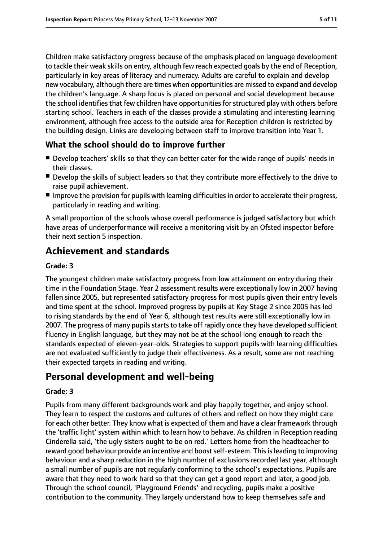Children make satisfactory progress because of the emphasis placed on language development to tackle their weak skills on entry, although few reach expected goals by the end of Reception, particularly in key areas of literacy and numeracy. Adults are careful to explain and develop new vocabulary, although there are times when opportunities are missed to expand and develop the children's language. A sharp focus is placed on personal and social development because the school identifies that few children have opportunities for structured play with others before starting school. Teachers in each of the classes provide a stimulating and interesting learning environment, although free access to the outside area for Reception children is restricted by the building design. Links are developing between staff to improve transition into Year 1.

#### **What the school should do to improve further**

- Develop teachers' skills so that they can better cater for the wide range of pupils' needs in their classes.
- Develop the skills of subject leaders so that they contribute more effectively to the drive to raise pupil achievement.
- Improve the provision for pupils with learning difficulties in order to accelerate their progress, particularly in reading and writing.

A small proportion of the schools whose overall performance is judged satisfactory but which have areas of underperformance will receive a monitoring visit by an Ofsted inspector before their next section 5 inspection.

# **Achievement and standards**

#### **Grade: 3**

The youngest children make satisfactory progress from low attainment on entry during their time in the Foundation Stage. Year 2 assessment results were exceptionally low in 2007 having fallen since 2005, but represented satisfactory progress for most pupils given their entry levels and time spent at the school. Improved progress by pupils at Key Stage 2 since 2005 has led to rising standards by the end of Year 6, although test results were still exceptionally low in 2007. The progress of many pupils starts to take off rapidly once they have developed sufficient fluency in English language, but they may not be at the school long enough to reach the standards expected of eleven-year-olds. Strategies to support pupils with learning difficulties are not evaluated sufficiently to judge their effectiveness. As a result, some are not reaching their expected targets in reading and writing.

# **Personal development and well-being**

#### **Grade: 3**

Pupils from many different backgrounds work and play happily together, and enjoy school. They learn to respect the customs and cultures of others and reflect on how they might care for each other better. They know what is expected of them and have a clear framework through the 'traffic light' system within which to learn how to behave. As children in Reception reading Cinderella said, 'the ugly sisters ought to be on red.' Letters home from the headteacher to reward good behaviour provide an incentive and boost self-esteem. This is leading to improving behaviour and a sharp reduction in the high number of exclusions recorded last year, although a small number of pupils are not regularly conforming to the school's expectations. Pupils are aware that they need to work hard so that they can get a good report and later, a good job. Through the school council, 'Playground Friends' and recycling, pupils make a positive contribution to the community. They largely understand how to keep themselves safe and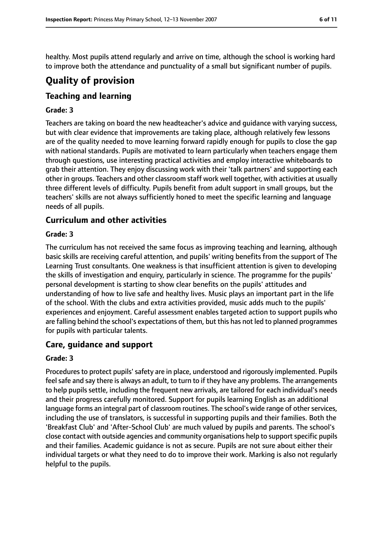healthy. Most pupils attend regularly and arrive on time, although the school is working hard to improve both the attendance and punctuality of a small but significant number of pupils.

# **Quality of provision**

## **Teaching and learning**

#### **Grade: 3**

Teachers are taking on board the new headteacher's advice and guidance with varying success, but with clear evidence that improvements are taking place, although relatively few lessons are of the quality needed to move learning forward rapidly enough for pupils to close the gap with national standards. Pupils are motivated to learn particularly when teachers engage them through questions, use interesting practical activities and employ interactive whiteboards to grab their attention. They enjoy discussing work with their 'talk partners' and supporting each other in groups. Teachers and other classroom staff work well together, with activities at usually three different levels of difficulty. Pupils benefit from adult support in small groups, but the teachers' skills are not always sufficiently honed to meet the specific learning and language needs of all pupils.

#### **Curriculum and other activities**

#### **Grade: 3**

The curriculum has not received the same focus as improving teaching and learning, although basic skills are receiving careful attention, and pupils' writing benefits from the support of The Learning Trust consultants. One weakness is that insufficient attention is given to developing the skills of investigation and enquiry, particularly in science. The programme for the pupils' personal development is starting to show clear benefits on the pupils' attitudes and understanding of how to live safe and healthy lives. Music plays an important part in the life of the school. With the clubs and extra activities provided, music adds much to the pupils' experiences and enjoyment. Careful assessment enables targeted action to support pupils who are falling behind the school's expectations of them, but this has not led to planned programmes for pupils with particular talents.

#### **Care, guidance and support**

#### **Grade: 3**

Procedures to protect pupils' safety are in place, understood and rigorously implemented. Pupils feel safe and say there is always an adult, to turn to if they have any problems. The arrangements to help pupils settle, including the frequent new arrivals, are tailored for each individual's needs and their progress carefully monitored. Support for pupils learning English as an additional language forms an integral part of classroom routines. The school's wide range of other services, including the use of translators, is successful in supporting pupils and their families. Both the 'Breakfast Club' and 'After-School Club' are much valued by pupils and parents. The school's close contact with outside agencies and community organisations help to support specific pupils and their families. Academic guidance is not as secure. Pupils are not sure about either their individual targets or what they need to do to improve their work. Marking is also not regularly helpful to the pupils.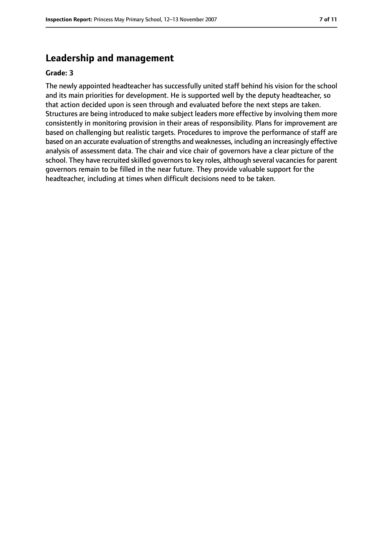## **Leadership and management**

#### **Grade: 3**

The newly appointed headteacher has successfully united staff behind his vision for the school and its main priorities for development. He is supported well by the deputy headteacher, so that action decided upon is seen through and evaluated before the next steps are taken. Structures are being introduced to make subject leaders more effective by involving them more consistently in monitoring provision in their areas of responsibility. Plans for improvement are based on challenging but realistic targets. Procedures to improve the performance of staff are based on an accurate evaluation of strengths and weaknesses, including an increasingly effective analysis of assessment data. The chair and vice chair of governors have a clear picture of the school. They have recruited skilled governors to key roles, although several vacancies for parent governors remain to be filled in the near future. They provide valuable support for the headteacher, including at times when difficult decisions need to be taken.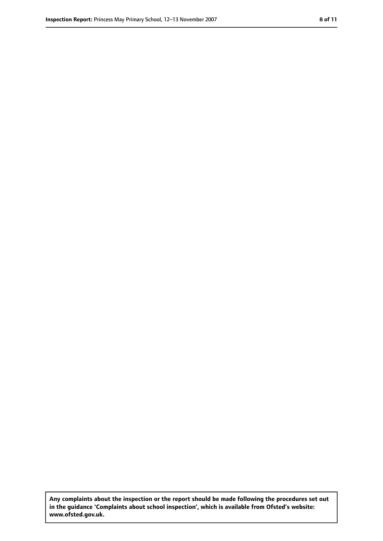**Any complaints about the inspection or the report should be made following the procedures set out in the guidance 'Complaints about school inspection', which is available from Ofsted's website: www.ofsted.gov.uk.**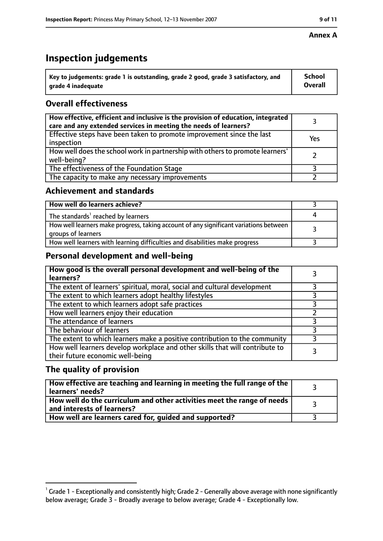# **Inspection judgements**

| $^{\backprime}$ Key to judgements: grade 1 is outstanding, grade 2 good, grade 3 satisfactory, and | <b>School</b>  |
|----------------------------------------------------------------------------------------------------|----------------|
| arade 4 inadequate                                                                                 | <b>Overall</b> |

## **Overall effectiveness**

| How effective, efficient and inclusive is the provision of education, integrated<br>care and any extended services in meeting the needs of learners? |     |
|------------------------------------------------------------------------------------------------------------------------------------------------------|-----|
| Effective steps have been taken to promote improvement since the last<br>inspection                                                                  | Yes |
| How well does the school work in partnership with others to promote learners'<br>well-being?                                                         |     |
| The effectiveness of the Foundation Stage                                                                                                            |     |
| The capacity to make any necessary improvements                                                                                                      |     |

#### **Achievement and standards**

| How well do learners achieve?                                                                               |  |
|-------------------------------------------------------------------------------------------------------------|--|
| The standards <sup>1</sup> reached by learners                                                              |  |
| How well learners make progress, taking account of any significant variations between<br>groups of learners |  |
| How well learners with learning difficulties and disabilities make progress                                 |  |

## **Personal development and well-being**

| How good is the overall personal development and well-being of the<br>learners?                                  |  |
|------------------------------------------------------------------------------------------------------------------|--|
| The extent of learners' spiritual, moral, social and cultural development                                        |  |
| The extent to which learners adopt healthy lifestyles                                                            |  |
| The extent to which learners adopt safe practices                                                                |  |
| How well learners enjoy their education                                                                          |  |
| The attendance of learners                                                                                       |  |
| The behaviour of learners                                                                                        |  |
| The extent to which learners make a positive contribution to the community                                       |  |
| How well learners develop workplace and other skills that will contribute to<br>their future economic well-being |  |

## **The quality of provision**

| How effective are teaching and learning in meeting the full range of the<br>learners' needs?          |  |
|-------------------------------------------------------------------------------------------------------|--|
| How well do the curriculum and other activities meet the range of needs<br>and interests of learners? |  |
| How well are learners cared for, guided and supported?                                                |  |

 $^1$  Grade 1 - Exceptionally and consistently high; Grade 2 - Generally above average with none significantly below average; Grade 3 - Broadly average to below average; Grade 4 - Exceptionally low.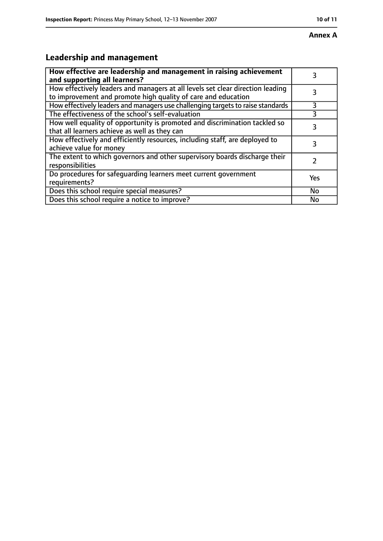# **Leadership and management**

| How effective are leadership and management in raising achievement<br>and supporting all learners?                                              | 3         |
|-------------------------------------------------------------------------------------------------------------------------------------------------|-----------|
| How effectively leaders and managers at all levels set clear direction leading<br>to improvement and promote high quality of care and education |           |
| How effectively leaders and managers use challenging targets to raise standards                                                                 | 3         |
| The effectiveness of the school's self-evaluation                                                                                               | 3         |
| How well equality of opportunity is promoted and discrimination tackled so<br>that all learners achieve as well as they can                     | 3         |
| How effectively and efficiently resources, including staff, are deployed to<br>achieve value for money                                          | 3         |
| The extent to which governors and other supervisory boards discharge their<br>responsibilities                                                  |           |
| Do procedures for safequarding learners meet current government<br>requirements?                                                                | Yes       |
| Does this school require special measures?                                                                                                      | <b>No</b> |
| Does this school require a notice to improve?                                                                                                   | No        |